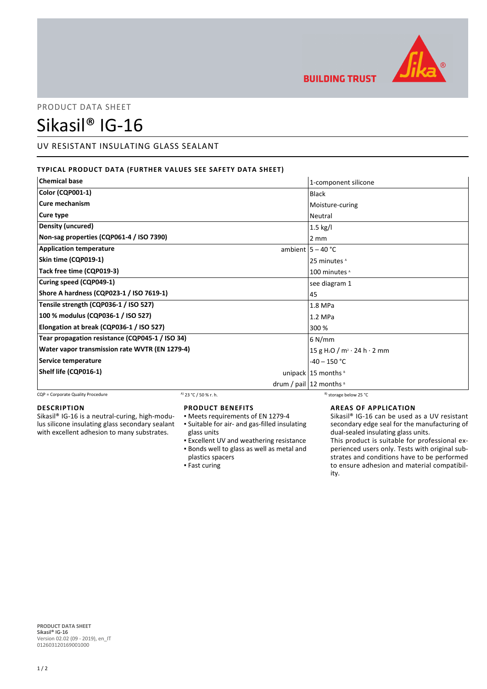

**BUILDING TRUST** 

# PRODUCT DATA SHEET

# Sikasil® IG-16

## UV RESISTANT INSULATING GLASS SEALANT

### **TYPICAL PRODUCT DATA (FURTHER VALUES SEE SAFETY DATA SHEET)**

| <b>Chemical base</b>                            | 1-component silicone                                 |
|-------------------------------------------------|------------------------------------------------------|
| <b>Color (CQP001-1)</b>                         | Black                                                |
| <b>Cure mechanism</b>                           | Moisture-curing                                      |
| Cure type                                       | Neutral                                              |
| Density (uncured)                               | $1.5$ kg/l                                           |
| Non-sag properties (CQP061-4 / ISO 7390)        | $2 \, \text{mm}$                                     |
| <b>Application temperature</b>                  | ambient $ 5 - 40$ °C                                 |
| Skin time (CQP019-1)                            | 25 minutes <sup>A</sup>                              |
| Tack free time (CQP019-3)                       | 100 minutes <sup>A</sup>                             |
| Curing speed (CQP049-1)                         | see diagram 1                                        |
| Shore A hardness (CQP023-1 / ISO 7619-1)        | 45                                                   |
| Tensile strength (CQP036-1 / ISO 527)           | 1.8 MPa                                              |
| 100 % modulus (CQP036-1 / ISO 527)              | 1.2 MPa                                              |
| Elongation at break (CQP036-1 / ISO 527)        | 300 %                                                |
| Tear propagation resistance (CQP045-1 / ISO 34) | 6 N/mm                                               |
| Water vapor transmission rate WVTR (EN 1279-4)  | 15 g H <sub>2</sub> O / m <sup>2</sup> · 24 h · 2 mm |
| Service temperature                             | $-40 - 150$ °C                                       |
| Shelf life (CQP016-1)                           | unipack $15$ months $8$                              |
|                                                 | drum / pail $ 12$ months $ 8$                        |

CQP = Corporate Quality Procedure  $A$  23 °C / 50 % r. h. B) storage below 25 °C

#### **DESCRIPTION**

Sikasil® IG-16 is a neutral-curing, high-modulus silicone insulating glass secondary sealant with excellent adhesion to many substrates.

#### **PRODUCT BENEFITS**

- Meets requirements of EN 1279-4 Suitable for air- and gas-filled insulating ▪ glass units
- **Excellent UV and weathering resistance** Bonds well to glass as well as metal and ▪
- plastics spacers
- Fast curing

#### **AREAS OF APPLICATION**

Sikasil® IG-16 can be used as a UV resistant secondary edge seal for the manufacturing of dual-sealed insulating glass units.

This product is suitable for professional experienced users only. Tests with original substrates and conditions have to be performed to ensure adhesion and material compatibility.